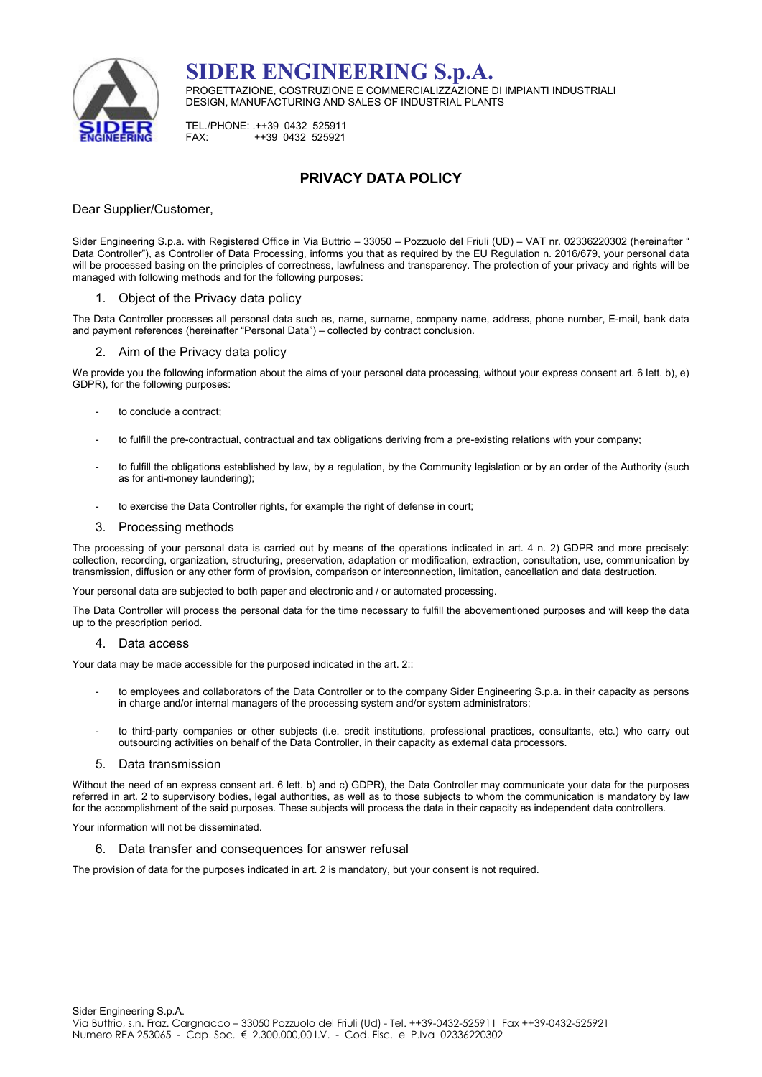

SIDER ENGINEERING S.p.A. PROGETTAZIONE, COSTRUZIONE E COMMERCIALIZZAZIONE DI IMPIANTI INDUSTRIALI DESIGN, MANUFACTURING AND SALES OF INDUSTRIAL PLANTS

TEL./PHONE: .++39 0432 525911<br>EAX: ++39 0432 525921 FAX: ++39 0432 525921

# PRIVACY DATA POLICY

# Dear Supplier/Customer,

Sider Engineering S.p.a. with Registered Office in Via Buttrio – 33050 – Pozzuolo del Friuli (UD) – VAT nr. 02336220302 (hereinafter " Data Controller"), as Controller of Data Processing, informs you that as required by the EU Regulation n. 2016/679, your personal data will be processed basing on the principles of correctness, lawfulness and transparency. The protection of your privacy and rights will be managed with following methods and for the following purposes:

# 1. Object of the Privacy data policy

The Data Controller processes all personal data such as, name, surname, company name, address, phone number, E-mail, bank data and payment references (hereinafter "Personal Data") – collected by contract conclusion.

# 2. Aim of the Privacy data policy

We provide you the following information about the aims of your personal data processing, without your express consent art. 6 lett. b), e) GDPR), for the following purposes:

- to conclude a contract;
- to fulfill the pre-contractual, contractual and tax obligations deriving from a pre-existing relations with your company;
- to fulfill the obligations established by law, by a regulation, by the Community legislation or by an order of the Authority (such as for anti-money laundering);
- to exercise the Data Controller rights, for example the right of defense in court;

### 3. Processing methods

The processing of your personal data is carried out by means of the operations indicated in art. 4 n. 2) GDPR and more precisely: collection, recording, organization, structuring, preservation, adaptation or modification, extraction, consultation, use, communication by transmission, diffusion or any other form of provision, comparison or interconnection, limitation, cancellation and data destruction.

Your personal data are subjected to both paper and electronic and / or automated processing.

The Data Controller will process the personal data for the time necessary to fulfill the abovementioned purposes and will keep the data up to the prescription period.

### 4. Data access

Your data may be made accessible for the purposed indicated in the art. 2::

- to employees and collaborators of the Data Controller or to the company Sider Engineering S.p.a. in their capacity as persons in charge and/or internal managers of the processing system and/or system administrators;
- to third-party companies or other subjects (i.e. credit institutions, professional practices, consultants, etc.) who carry out outsourcing activities on behalf of the Data Controller, in their capacity as external data processors.

### 5. Data transmission

Without the need of an express consent art. 6 lett. b) and c) GDPR), the Data Controller may communicate your data for the purposes referred in art. 2 to supervisory bodies, legal authorities, as well as to those subjects to whom the communication is mandatory by law for the accomplishment of the said purposes. These subjects will process the data in their capacity as independent data controllers.

Your information will not be disseminated.

# 6. Data transfer and consequences for answer refusal

The provision of data for the purposes indicated in art. 2 is mandatory, but your consent is not required.